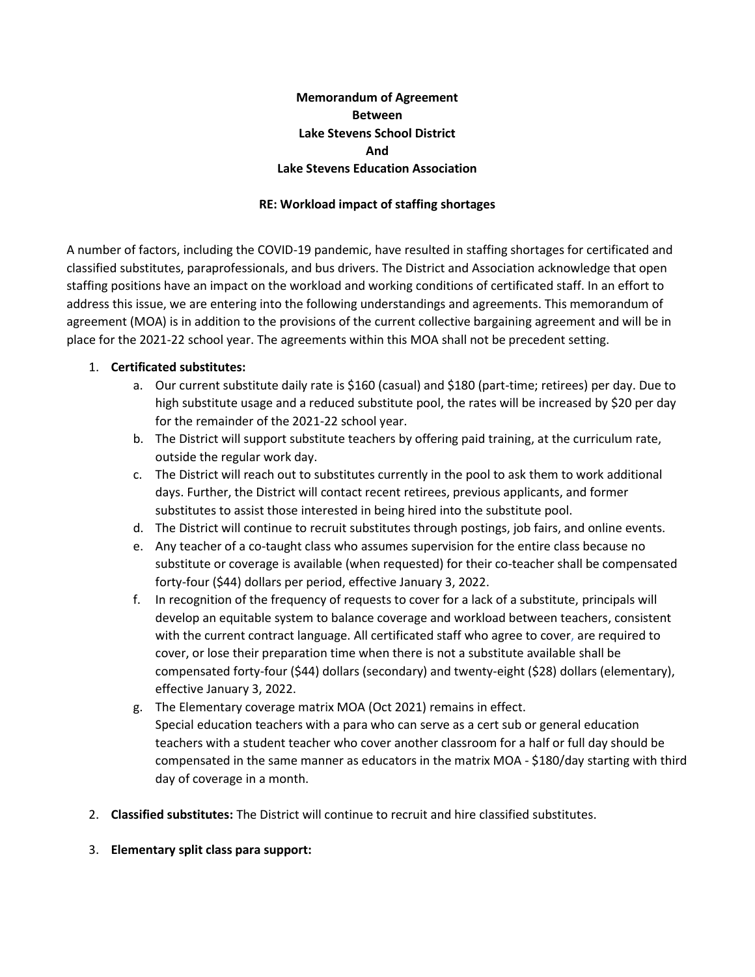## **Memorandum of Agreement Between Lake Stevens School District And Lake Stevens Education Association**

## **RE: Workload impact of staffing shortages**

A number of factors, including the COVID-19 pandemic, have resulted in staffing shortages for certificated and classified substitutes, paraprofessionals, and bus drivers. The District and Association acknowledge that open staffing positions have an impact on the workload and working conditions of certificated staff. In an effort to address this issue, we are entering into the following understandings and agreements. This memorandum of agreement (MOA) is in addition to the provisions of the current collective bargaining agreement and will be in place for the 2021-22 school year. The agreements within this MOA shall not be precedent setting.

## 1. **Certificated substitutes:**

- a. Our current substitute daily rate is \$160 (casual) and \$180 (part-time; retirees) per day. Due to high substitute usage and a reduced substitute pool, the rates will be increased by \$20 per day for the remainder of the 2021-22 school year.
- b. The District will support substitute teachers by offering paid training, at the curriculum rate, outside the regular work day.
- c. The District will reach out to substitutes currently in the pool to ask them to work additional days. Further, the District will contact recent retirees, previous applicants, and former substitutes to assist those interested in being hired into the substitute pool.
- d. The District will continue to recruit substitutes through postings, job fairs, and online events.
- e. Any teacher of a co-taught class who assumes supervision for the entire class because no substitute or coverage is available (when requested) for their co-teacher shall be compensated forty-four (\$44) dollars per period, effective January 3, 2022.
- f. In recognition of the frequency of requests to cover for a lack of a substitute, principals will develop an equitable system to balance coverage and workload between teachers, consistent with the current contract language. All certificated staff who agree to cover, are required to cover, or lose their preparation time when there is not a substitute available shall be compensated forty-four (\$44) dollars (secondary) and twenty-eight (\$28) dollars (elementary), effective January 3, 2022.
- g. The Elementary coverage matrix MOA (Oct 2021) remains in effect. Special education teachers with a para who can serve as a cert sub or general education teachers with a student teacher who cover another classroom for a half or full day should be compensated in the same manner as educators in the matrix MOA - \$180/day starting with third day of coverage in a month.
- 2. **Classified substitutes:** The District will continue to recruit and hire classified substitutes.
- 3. **Elementary split class para support:**